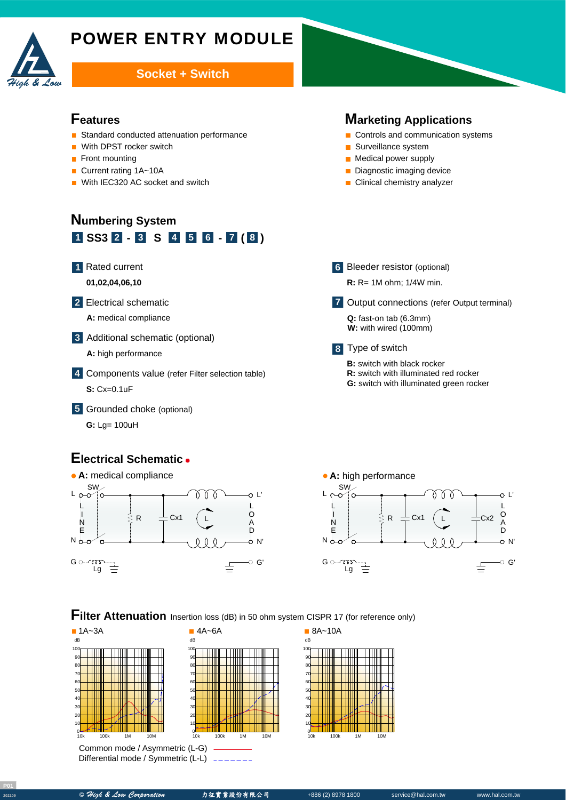

# POWER ENTRY MODULE

### **Socket + Switch**

#### **Features**

- Standard conducted attenuation performance
- With DPST rocker switch  $\blacksquare$
- Front mounting
- Current rating 1A~10A  $\blacksquare$
- With IEC320 AC socket and switch  $\blacksquare$

# **Numbering System 1 SS3 - - ( ) 2 3 S 4 5 6 7 8**

#### Rated current **1**

**01,02,04,06,10**

- Electrical schematic **2**
	- **A:** medical compliance
- Additional schematic (optional) **3**
	- **A:** high performance
- Components value (refer Filter selection table) **4 S:** Cx=0.1uF
- Grounded choke (optional) **5**

A **G:** Lg= 100uH

## **Electrical Schematic**



#### **6** Bleeder resistor (optional)

Surveillance system **Medical power supply** Diagnostic imaging device **Clinical chemistry analyzer** 

**R:** R= 1M ohm; 1/4W min.

**Marketing Applications** Controls and communication systems

Output connections (refer Output terminal) **7**

Q: fast-on tab (6.3mm) **W:** with wired (100mm)

#### Type of switch **8**

- **B:** switch with black rocker
- **R:** switch with illuminated red rocker
- **G:** switch with illuminated green rocker



## **Filter Attenuation** Insertion loss (dB) in 50 ohm system CISPR 17 (for reference only)



Common mode / Asymmetric (L-G) Differential mode / Symmetric (L-L)